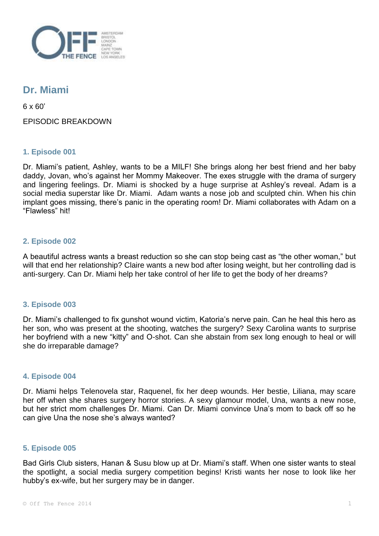

# **Dr. Miami**

6 x 60'

EPISODIC BREAKDOWN

## **1. Episode 001**

Dr. Miami's patient, Ashley, wants to be a MILF! She brings along her best friend and her baby daddy, Jovan, who's against her Mommy Makeover. The exes struggle with the drama of surgery and lingering feelings. Dr. Miami is shocked by a huge surprise at Ashley's reveal. Adam is a social media superstar like Dr. Miami. Adam wants a nose job and sculpted chin. When his chin implant goes missing, there's panic in the operating room! Dr. Miami collaborates with Adam on a "Flawless" hit!

## **2. Episode 002**

A beautiful actress wants a breast reduction so she can stop being cast as "the other woman," but will that end her relationship? Claire wants a new bod after losing weight, but her controlling dad is anti-surgery. Can Dr. Miami help her take control of her life to get the body of her dreams?

## **3. Episode 003**

Dr. Miami's challenged to fix gunshot wound victim, Katoria's nerve pain. Can he heal this hero as her son, who was present at the shooting, watches the surgery? Sexy Carolina wants to surprise her boyfriend with a new "kitty" and O-shot. Can she abstain from sex long enough to heal or will she do irreparable damage?

#### **4. Episode 004**

Dr. Miami helps Telenovela star, Raquenel, fix her deep wounds. Her bestie, Liliana, may scare her off when she shares surgery horror stories. A sexy glamour model, Una, wants a new nose, but her strict mom challenges Dr. Miami. Can Dr. Miami convince Una's mom to back off so he can give Una the nose she's always wanted?

#### **5. Episode 005**

Bad Girls Club sisters, Hanan & Susu blow up at Dr. Miami's staff. When one sister wants to steal the spotlight, a social media surgery competition begins! Kristi wants her nose to look like her hubby's ex-wife, but her surgery may be in danger.